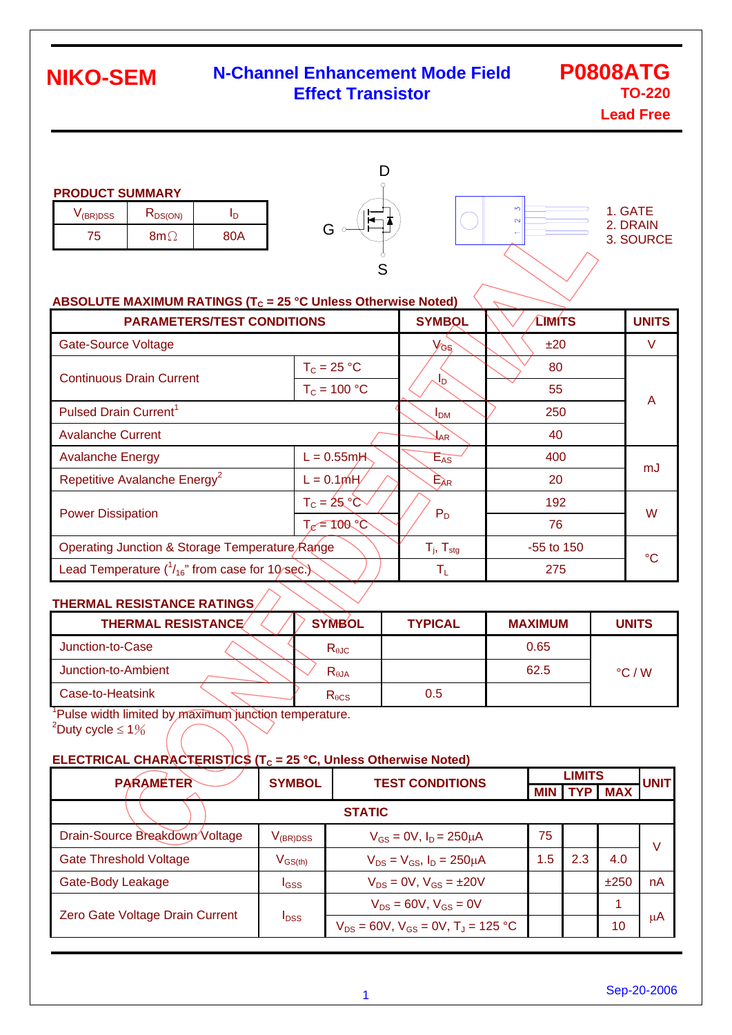#### **N-Channel Enhancement Mode Field Effect Transistor**

# **P0808ATG TO-220**

**Lead Free**

| <b>PRODUCT SUMMARY</b> |              |  |
|------------------------|--------------|--|
| $V_{(BR)DSS}$          | $R_{DS(ON)}$ |  |

| V <sub>(BR)DSS</sub> | <b>KDS(ON)</b> |     |  |
|----------------------|----------------|-----|--|
| w                    | 8m C           | ጸበል |  |





#### **ABSOLUTE MAXIMUM RATINGS (T<sub>C</sub> = 25 °C Unless Otherwise Noted)**

| <b>PARAMETERS/TEST CONDITIONS</b>                       | <b>SYMBOL</b>            |                 | <b>LIMITS</b> | <b>UNITS</b> |        |  |
|---------------------------------------------------------|--------------------------|-----------------|---------------|--------------|--------|--|
| <b>Gate-Source Voltage</b>                              |                          | VGS             |               | ±20          | $\vee$ |  |
| <b>Continuous Drain Current</b>                         | $T_c = 25 °C$            |                 |               | 80           |        |  |
|                                                         | $T_c = 100 °C$           | JD              |               | 55           | A      |  |
| Pulsed Drain Current <sup>1</sup>                       |                          | I <sub>DM</sub> |               | 250          |        |  |
| <b>Avalanche Current</b>                                | $\mathbf{1}_{AR}$        |                 | 40            |              |        |  |
| <b>Avalanche Energy</b>                                 | $L = 0.55$ m $H$         | $E_{AS}$        |               | 400          | mJ     |  |
| Repetitive Avalanche Energy <sup>2</sup><br>$L = 0.1mH$ |                          | $E_{AR}$        |               | 20           |        |  |
| <b>Power Dissipation</b>                                | $T_c = 25^\circ \circ$   |                 |               | 192          | W      |  |
|                                                         | $T_e = 100°C$            | $P_D$           |               | 76           |        |  |
| Operating Junction & Storage Temperature Range          | $T_i$ , $T_{\text{stg}}$ |                 | -55 to 150    | $^{\circ}C$  |        |  |
| Lead Temperature $(^{1}_{16}$ " from case for 10/sec.)  | $\mathsf{T}_\mathsf{L}$  |                 | 275           |              |        |  |

#### **THERMAL RESISTANCE RATINGS**

| <b>THERMAL RESISTANCE</b> | <b>SYMBOL</b>   | <b>TYPICAL</b> | <b>MAXIMUM</b> | <b>UNITS</b>    |
|---------------------------|-----------------|----------------|----------------|-----------------|
| Junction-to-Case          | $R_{\theta$ JC  |                | 0.65           |                 |
| Junction-to-Ambient       | $R_{\theta$ JA  |                | 62.5           | $\degree$ C / W |
| Case-to-Heatsink          | $R_{\theta CS}$ | 0.5            |                |                 |

<sup>1</sup>Pulse width limited by maximum junction temperature.  $2^2$ Duty cycle  $\leq 1\%$ 

#### **ELECTRICAL CHARACTERISTICS (T<sub>C</sub> = 25 °C, Unless Otherwise Noted)**

| <b>PARAMETER</b>                | <b>SYMBOL</b>           | <b>TEST CONDITIONS</b>                                 |            | <b>LIMITS</b> |            |             |
|---------------------------------|-------------------------|--------------------------------------------------------|------------|---------------|------------|-------------|
|                                 |                         |                                                        | <b>MIN</b> |               | <b>MAX</b> | <b>UNIT</b> |
|                                 |                         | <b>STATIC</b>                                          |            |               |            |             |
| Drain-Source Breakdown Voltage  | $V_{\rm (BR)DSS}$       | $V_{GS} = 0V$ , $I_D = 250 \mu A$                      | 75         |               |            | V           |
| <b>Gate Threshold Voltage</b>   | $V_{GS(th)}$            | $V_{DS} = V_{GS}$ , $I_D = 250 \mu A$                  | .5         | 2.3           | 4.0        |             |
| Gate-Body Leakage               | I <sub>GSS</sub>        | $V_{DS} = 0V$ , $V_{GS} = \pm 20V$                     |            |               | ±250       | nA          |
| Zero Gate Voltage Drain Current | <b>I</b> <sub>DSS</sub> | $V_{DS} = 60V$ , $V_{GS} = 0V$                         |            |               |            |             |
|                                 |                         | $V_{DS}$ = 60V, $V_{GS}$ = 0V, T <sub>J</sub> = 125 °C |            |               | 10         | μA          |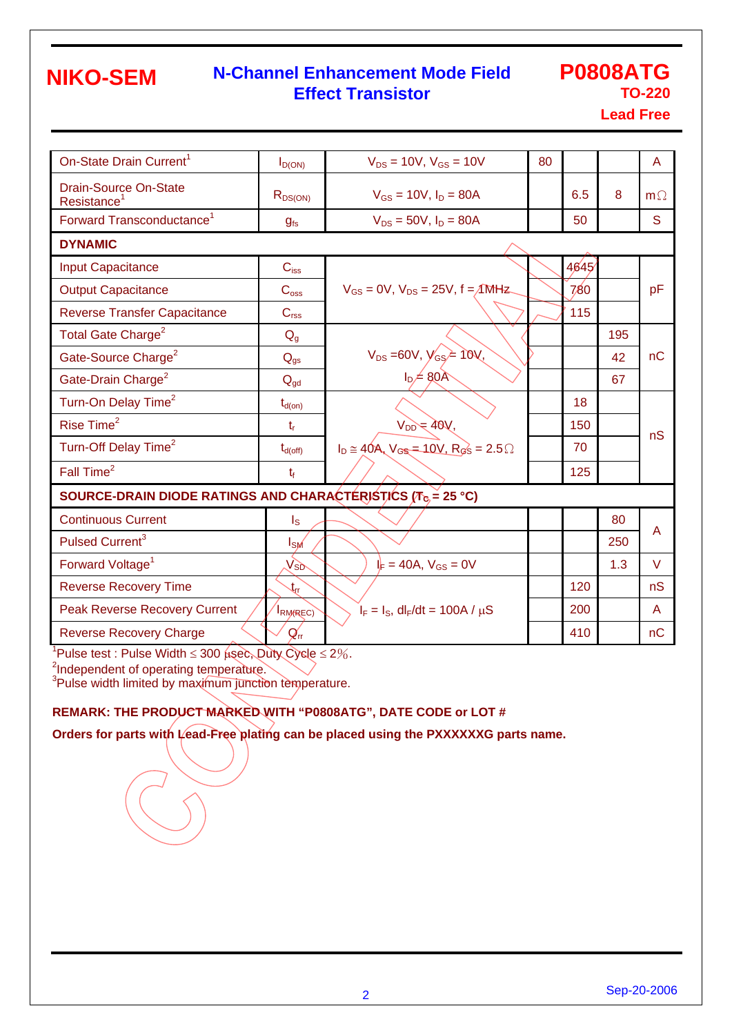#### **N-Channel Enhancement Mode Field Effect Transistor**

### **P0808ATG TO-220**

**Lead Free**

| On-State Drain Current <sup>1</sup>                                      | $I_{D(ON)}$                 | $V_{DS} = 10V$ , $V_{GS} = 10V$                          | 80 |      |     | A         |  |  |
|--------------------------------------------------------------------------|-----------------------------|----------------------------------------------------------|----|------|-----|-----------|--|--|
| <b>Drain-Source On-State</b><br>Resistance <sup>1</sup>                  | $R_{DS(ON)}$                | $V_{GS} = 10V$ , $I_D = 80A$                             |    | 6.5  | 8   | $m\Omega$ |  |  |
| Forward Transconductance <sup>1</sup>                                    | $g_{fs}$                    | $V_{DS} = 50V$ , $I_D = 80A$                             |    | 50   |     | S         |  |  |
| <b>DYNAMIC</b>                                                           |                             |                                                          |    |      |     |           |  |  |
| <b>Input Capacitance</b>                                                 | $C_{\hbox{\tiny \rm ISS}}$  |                                                          |    | 4645 |     |           |  |  |
| <b>Output Capacitance</b>                                                | C <sub>oss</sub>            | $V_{GS} = 0V$ , $V_{DS} = 25V$ , $f = \sqrt{M}Hz$        |    | 780  |     | pF        |  |  |
| <b>Reverse Transfer Capacitance</b>                                      | C <sub>rss</sub>            |                                                          |    | 115  |     |           |  |  |
| Total Gate Charge <sup>2</sup>                                           | $Q_{q}$                     |                                                          |    |      | 195 |           |  |  |
| Gate-Source Charge <sup>2</sup>                                          | $Q_{qs}$                    | $V_{DS} = 60V, V_{GS} = 10V,$                            |    |      | 42  | nC        |  |  |
| Gate-Drain Charge <sup>2</sup>                                           | $Q_{gd}$                    | $I_D \neq 80$ Å                                          |    |      | 67  |           |  |  |
| Turn-On Delay Time <sup>2</sup>                                          | $t_{d(on)}$                 |                                                          |    | 18   |     |           |  |  |
| Rise Time <sup>2</sup>                                                   | $t_{r}$                     | $V_{DD} = 40V,$                                          |    | 150  |     |           |  |  |
| Turn-Off Delay Time <sup>2</sup>                                         | $t_{d(\text{off})}$         | $I_D \cong 40A$ , $V_{GS} = 10V$ , $R_{GS} = 2.5 \Omega$ |    | 70   |     | nS        |  |  |
| Fall Time <sup>2</sup>                                                   | $t_{\rm f}$                 |                                                          |    | 125  |     |           |  |  |
| SOURCE-DRAIN DIODE RATINGS AND CHARACTÉRISTICS ( $T_{\text{c}}$ = 25 °C) |                             |                                                          |    |      |     |           |  |  |
| <b>Continuous Current</b>                                                | $\mathsf{I}_\mathsf{S}$     |                                                          |    |      | 80  |           |  |  |
| Pulsed Current <sup>3</sup>                                              | IsM                         |                                                          |    |      | 250 | A         |  |  |
| Forward Voltage <sup>1</sup>                                             | $V_{SD}$                    | $I_F = 40A, V_{GS} = 0V$                                 |    |      | 1.3 | $\vee$    |  |  |
| <b>Reverse Recovery Time</b>                                             | $\mathfrak{t}_{\mathsf{r}}$ |                                                          |    | 120  |     | nS        |  |  |
| <b>Peak Reverse Recovery Current</b>                                     | <b>IRM(REC)</b>             | $I_F = I_S$ , dl <sub>F</sub> /dt = 100A / $\mu$ S       |    | 200  |     | A         |  |  |
| <b>Reverse Recovery Charge</b>                                           | $Q_{\text{rr}}$             |                                                          |    | 410  |     | nC        |  |  |

<sup>1</sup>Pulse test : Pulse Width  $\leq 300$   $\mu$ sec, Duty Cycle  $\leq 2\%$ .

<sup>2</sup>Independent of operating temperature.<br><sup>3</sup>Pulse width limited by maximum junction temperature.

#### **REMARK: THE PRODUCT MARKED WITH "P0808ATG", DATE CODE or LOT #**

**Orders for parts with Lead-Free plating can be placed using the PXXXXXXG parts name.**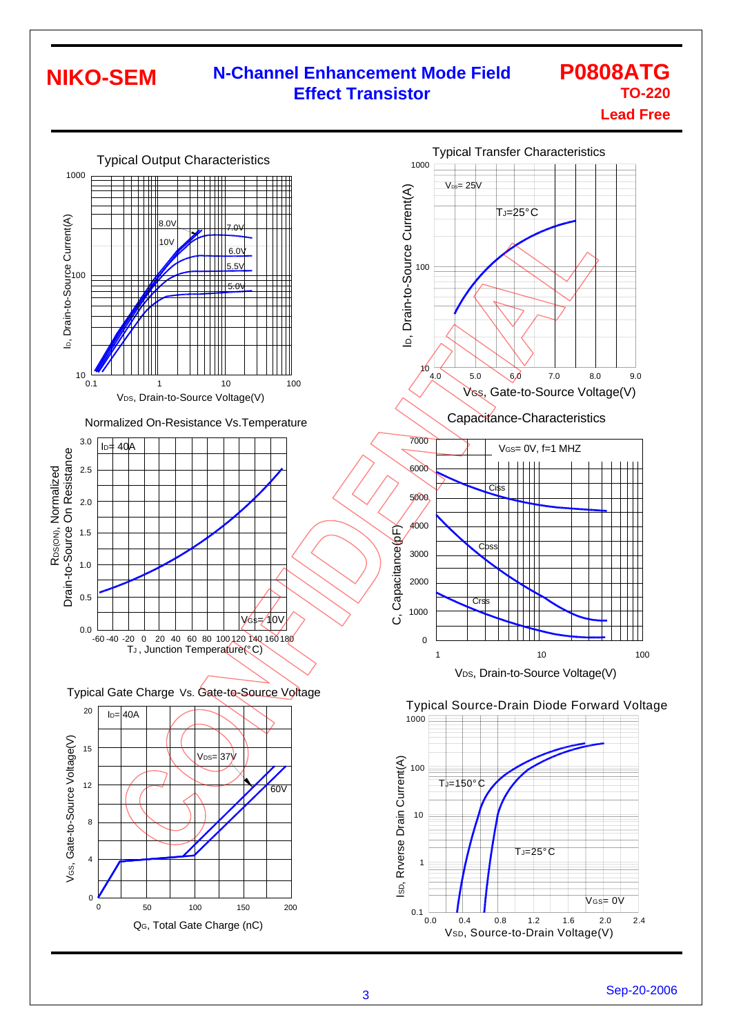#### **N-Channel Enhancement Mode Field Effect Transistor**

#### **P0808ATG TO-220 Lead Free**

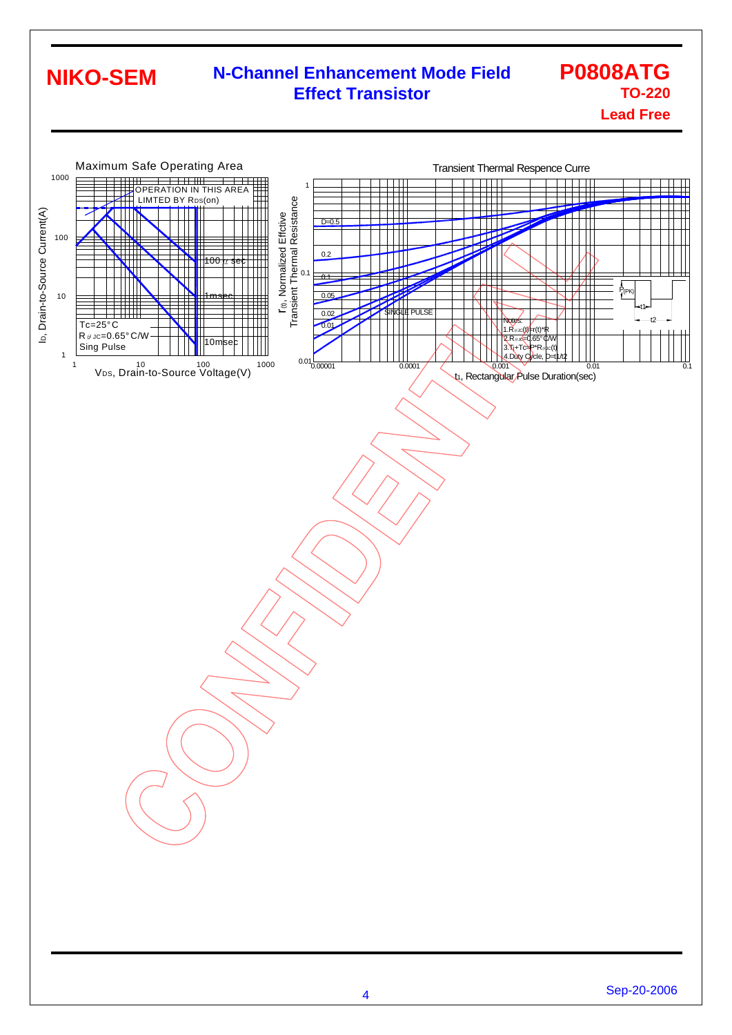#### **N-Channel Enhancement Mode Field Effect Transistor P0808ATG TO-220 NIKO-SEM**

### **Lead Free**